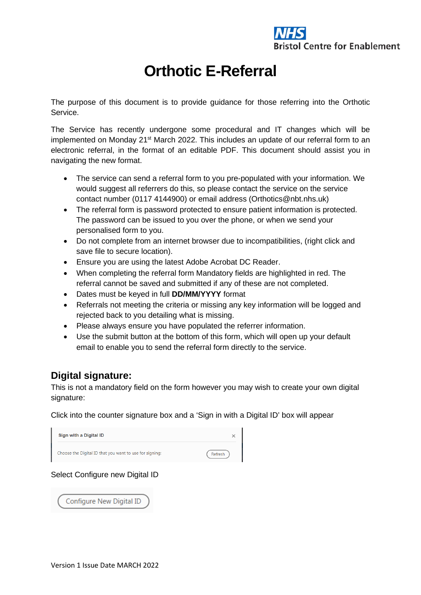

## **Orthotic E-Referral**

The purpose of this document is to provide guidance for those referring into the Orthotic **Service**.

The Service has recently undergone some procedural and IT changes which will be implemented on Monday 21<sup>st</sup> March 2022. This includes an update of our referral form to an electronic referral, in the format of an editable PDF. This document should assist you in navigating the new format.

- The service can send a referral form to you pre-populated with your information. We would suggest all referrers do this, so please contact the service on the service contact number (0117 4144900) or email address (Orthotics@nbt.nhs.uk)
- The referral form is password protected to ensure patient information is protected. The password can be issued to you over the phone, or when we send your personalised form to you.
- Do not complete from an internet browser due to incompatibilities, (right click and save file to secure location).
- Ensure you are using the latest Adobe Acrobat DC Reader.
- When completing the referral form Mandatory fields are highlighted in red. The referral cannot be saved and submitted if any of these are not completed.
- Dates must be keyed in full **DD/MM/YYYY** format
- Referrals not meeting the criteria or missing any key information will be logged and rejected back to you detailing what is missing.
- Please always ensure you have populated the referrer information.
- Use the submit button at the bottom of this form, which will open up your default email to enable you to send the referral form directly to the service.

## **Digital signature:**

This is not a mandatory field on the form however you may wish to create your own digital signature:

Click into the counter signature box and a 'Sign in with a Digital ID' box will appear

| Sign with a Digital ID                                  |         |
|---------------------------------------------------------|---------|
| Choose the Digital ID that you want to use for signing: | Refresh |

Select Configure new Digital ID

Configure New Digital ID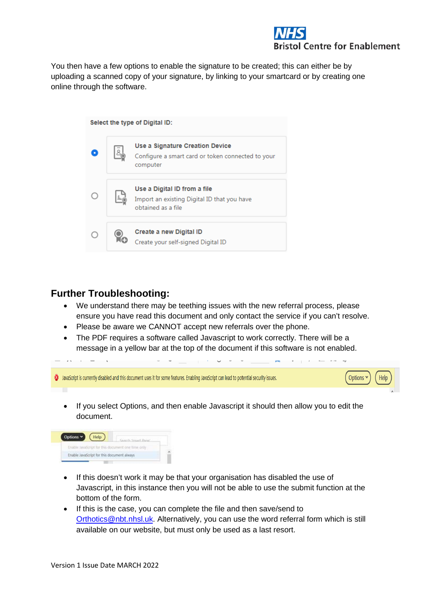## **Centre for Enablement**

You then have a few options to enable the signature to be created; this can either be by uploading a scanned copy of your signature, by linking to your smartcard or by creating one online through the software.

| Select the type of Digital ID: |  |                                                                                                    |  |  |
|--------------------------------|--|----------------------------------------------------------------------------------------------------|--|--|
|                                |  | Use a Signature Creation Device<br>Configure a smart card or token connected to your<br>computer   |  |  |
|                                |  | Use a Digital ID from a file<br>Import an existing Digital ID that you have<br>obtained as a file. |  |  |
|                                |  | Create a new Digital ID<br>Create your self-signed Digital ID                                      |  |  |

## **Further Troubleshooting:**

- We understand there may be teething issues with the new referral process, please ensure you have read this document and only contact the service if you can't resolve.
- Please be aware we CANNOT accept new referrals over the phone.
- The PDF requires a software called Javascript to work correctly. There will be a message in a yellow bar at the top of the document if this software is not enabled.

| 3 JavaScript is currently disabled and this document uses it for some features. Enabling JavaScript can lead to potential security issues. | <b>Options</b><br><b>Help</b> |
|--------------------------------------------------------------------------------------------------------------------------------------------|-------------------------------|
| If you select Options, and then enable Javascript it should then allow you to edit the<br>document.                                        |                               |



- If this doesn't work it may be that your organisation has disabled the use of Javascript, in this instance then you will not be able to use the submit function at the bottom of the form.
- If this is the case, you can complete the file and then save/send to [Orthotics@nbt.nhsl.uk.](mailto:Orthotics@nbt.nhsl.uk) Alternatively, you can use the word referral form which is still available on our website, but must only be used as a last resort.